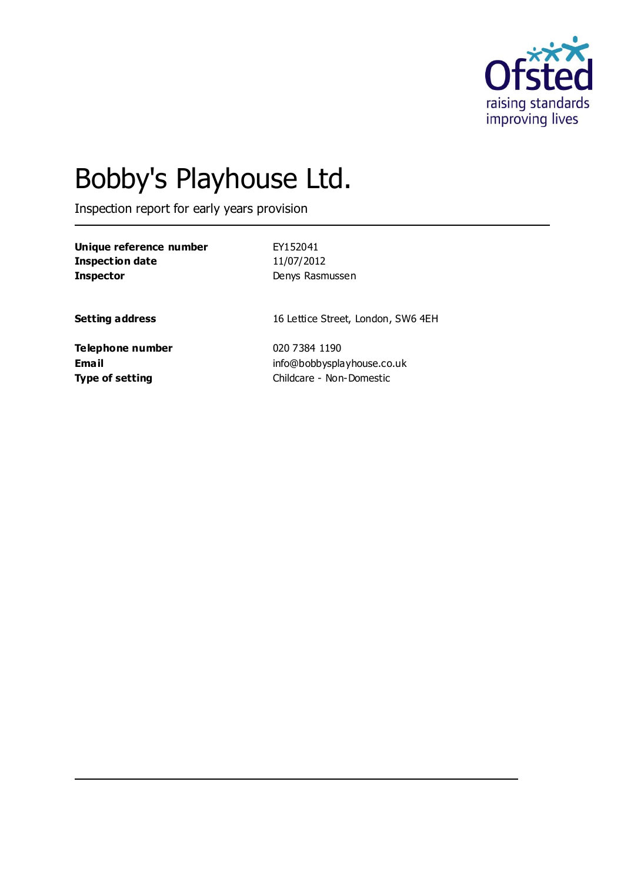

# Bobby's Playhouse Ltd.

Inspection report for early years provision

**Unique reference number** EY152041 **Inspection date** 11/07/2012 **Inspector** Denys Rasmussen

**Setting address** 16 Lettice Street, London, SW6 4EH

**Telephone number** 020 7384 1190

**Email** info@bobbysplayhouse.co.uk **Type of setting** Childcare - Non-Domestic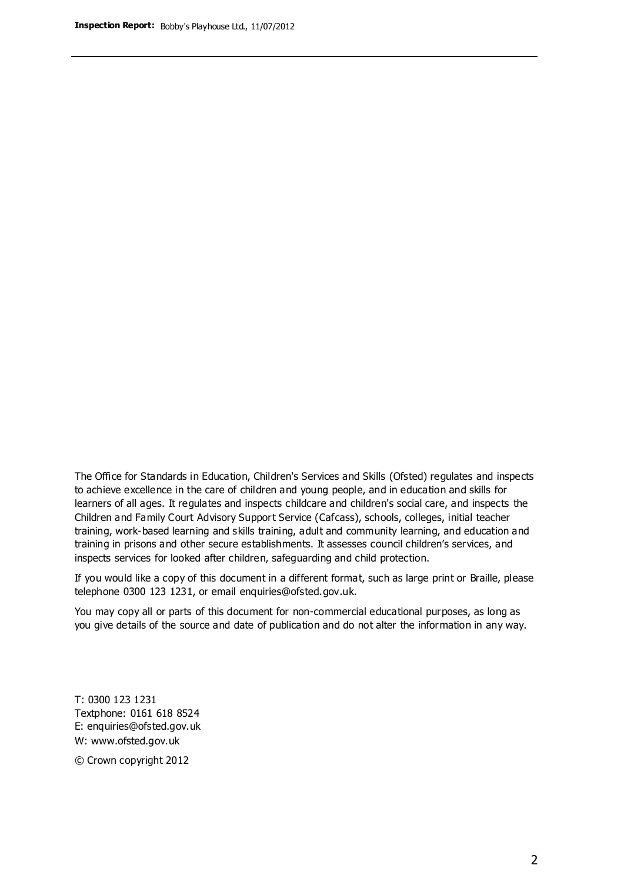The Office for Standards in Education, Children's Services and Skills (Ofsted) regulates and inspects to achieve excellence in the care of children and young people, and in education and skills for learners of all ages. It regulates and inspects childcare and children's social care, and inspects the Children and Family Court Advisory Support Service (Cafcass), schools, colleges, initial teacher training, work-based learning and skills training, adult and community learning, and education and training in prisons and other secure establishments. It assesses council children's services, and inspects services for looked after children, safeguarding and child protection.

If you would like a copy of this document in a different format, such as large print or Braille, please telephone 0300 123 1231, or email enquiries@ofsted.gov.uk.

You may copy all or parts of this document for non-commercial educational purposes, as long as you give details of the source and date of publication and do not alter the information in any way.

T: 0300 123 1231 Textphone: 0161 618 8524 E: enquiries@ofsted.gov.uk W: [www.ofsted.gov.uk](http://www.ofsted.gov.uk/)

© Crown copyright 2012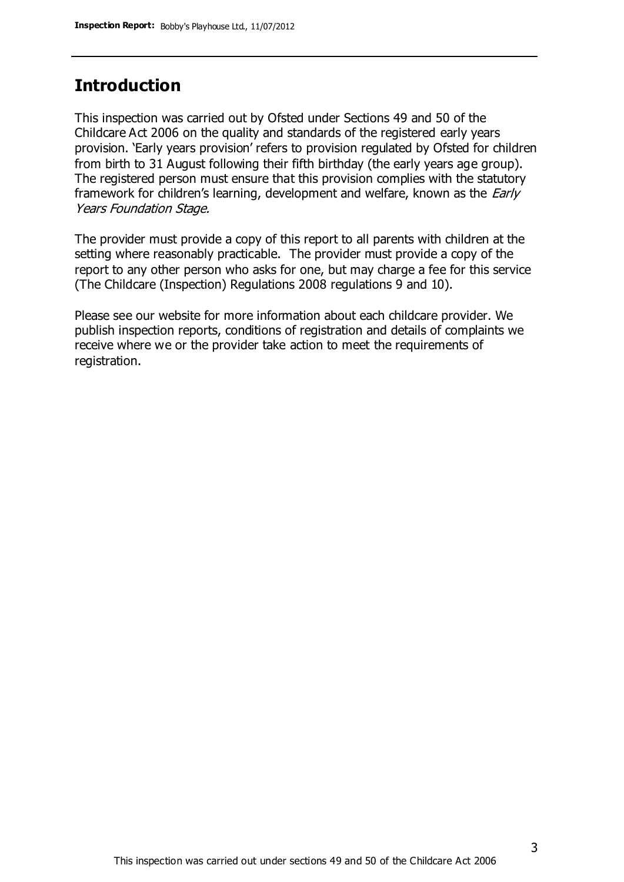# **Introduction**

This inspection was carried out by Ofsted under Sections 49 and 50 of the Childcare Act 2006 on the quality and standards of the registered early years provision. 'Early years provision' refers to provision regulated by Ofsted for children from birth to 31 August following their fifth birthday (the early years age group). The registered person must ensure that this provision complies with the statutory framework for children's learning, development and welfare, known as the *Early* Years Foundation Stage.

The provider must provide a copy of this report to all parents with children at the setting where reasonably practicable. The provider must provide a copy of the report to any other person who asks for one, but may charge a fee for this service (The Childcare (Inspection) Regulations 2008 regulations 9 and 10).

Please see our website for more information about each childcare provider. We publish inspection reports, conditions of registration and details of complaints we receive where we or the provider take action to meet the requirements of registration.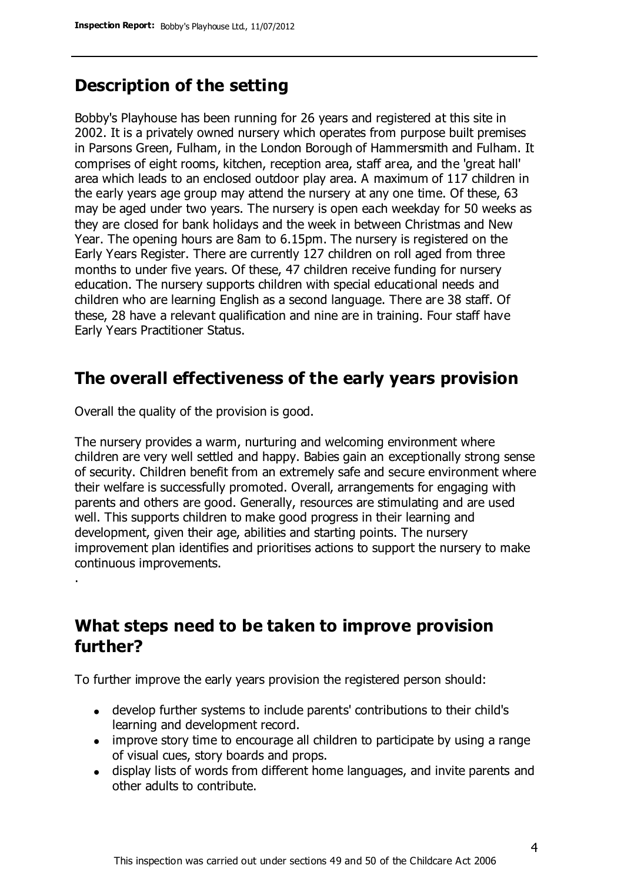# **Description of the setting**

Bobby's Playhouse has been running for 26 years and registered at this site in 2002. It is a privately owned nursery which operates from purpose built premises in Parsons Green, Fulham, in the London Borough of Hammersmith and Fulham. It comprises of eight rooms, kitchen, reception area, staff area, and the 'great hall' area which leads to an enclosed outdoor play area. A maximum of 117 children in the early years age group may attend the nursery at any one time. Of these, 63 may be aged under two years. The nursery is open each weekday for 50 weeks as they are closed for bank holidays and the week in between Christmas and New Year. The opening hours are 8am to 6.15pm. The nursery is registered on the Early Years Register. There are currently 127 children on roll aged from three months to under five years. Of these, 47 children receive funding for nursery education. The nursery supports children with special educational needs and children who are learning English as a second language. There are 38 staff. Of these, 28 have a relevant qualification and nine are in training. Four staff have Early Years Practitioner Status.

## **The overall effectiveness of the early years provision**

Overall the quality of the provision is good.

.

The nursery provides a warm, nurturing and welcoming environment where children are very well settled and happy. Babies gain an exceptionally strong sense of security. Children benefit from an extremely safe and secure environment where their welfare is successfully promoted. Overall, arrangements for engaging with parents and others are good. Generally, resources are stimulating and are used well. This supports children to make good progress in their learning and development, given their age, abilities and starting points. The nursery improvement plan identifies and prioritises actions to support the nursery to make continuous improvements.

# **What steps need to be taken to improve provision further?**

To further improve the early years provision the registered person should:

- develop further systems to include parents' contributions to their child's learning and development record.
- improve story time to encourage all children to participate by using a range of visual cues, story boards and props.
- display lists of words from different home languages, and invite parents and other adults to contribute.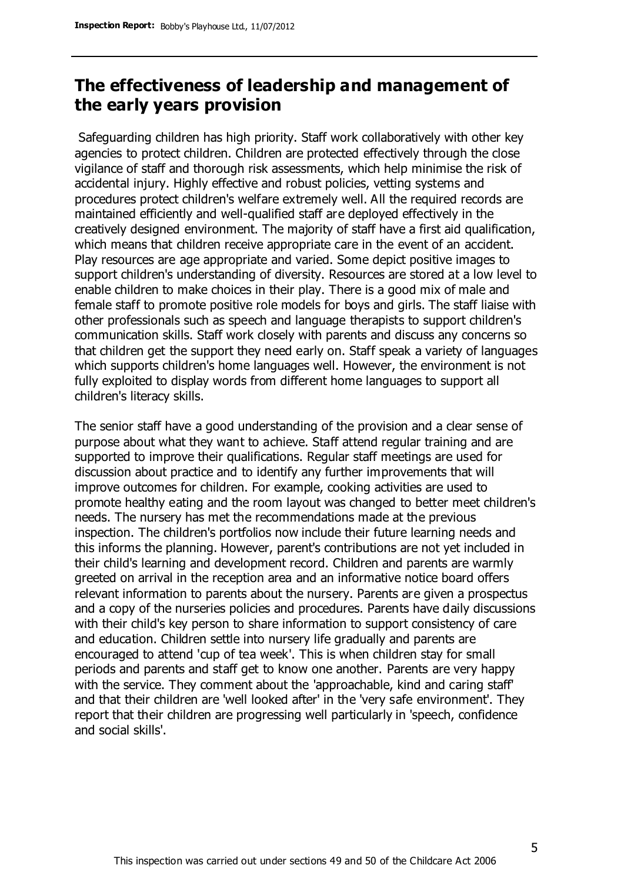# **The effectiveness of leadership and management of the early years provision**

Safeguarding children has high priority. Staff work collaboratively with other key agencies to protect children. Children are protected effectively through the close vigilance of staff and thorough risk assessments, which help minimise the risk of accidental injury. Highly effective and robust policies, vetting systems and procedures protect children's welfare extremely well. All the required records are maintained efficiently and well-qualified staff are deployed effectively in the creatively designed environment. The majority of staff have a first aid qualification, which means that children receive appropriate care in the event of an accident. Play resources are age appropriate and varied. Some depict positive images to support children's understanding of diversity. Resources are stored at a low level to enable children to make choices in their play. There is a good mix of male and female staff to promote positive role models for boys and girls. The staff liaise with other professionals such as speech and language therapists to support children's communication skills. Staff work closely with parents and discuss any concerns so that children get the support they need early on. Staff speak a variety of languages which supports children's home languages well. However, the environment is not fully exploited to display words from different home languages to support all children's literacy skills.

The senior staff have a good understanding of the provision and a clear sense of purpose about what they want to achieve. Staff attend regular training and are supported to improve their qualifications. Regular staff meetings are used for discussion about practice and to identify any further improvements that will improve outcomes for children. For example, cooking activities are used to promote healthy eating and the room layout was changed to better meet children's needs. The nursery has met the recommendations made at the previous inspection. The children's portfolios now include their future learning needs and this informs the planning. However, parent's contributions are not yet included in their child's learning and development record. Children and parents are warmly greeted on arrival in the reception area and an informative notice board offers relevant information to parents about the nursery. Parents are given a prospectus and a copy of the nurseries policies and procedures. Parents have daily discussions with their child's key person to share information to support consistency of care and education. Children settle into nursery life gradually and parents are encouraged to attend 'cup of tea week'. This is when children stay for small periods and parents and staff get to know one another. Parents are very happy with the service. They comment about the 'approachable, kind and caring staff' and that their children are 'well looked after' in the 'very safe environment'. They report that their children are progressing well particularly in 'speech, confidence and social skills'.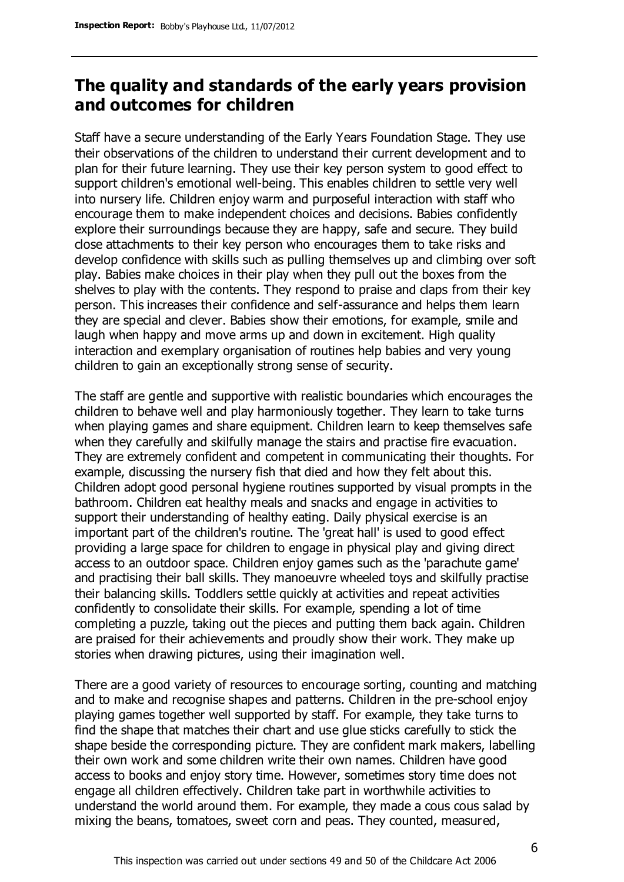# **The quality and standards of the early years provision and outcomes for children**

Staff have a secure understanding of the Early Years Foundation Stage. They use their observations of the children to understand their current development and to plan for their future learning. They use their key person system to good effect to support children's emotional well-being. This enables children to settle very well into nursery life. Children enjoy warm and purposeful interaction with staff who encourage them to make independent choices and decisions. Babies confidently explore their surroundings because they are happy, safe and secure. They build close attachments to their key person who encourages them to take risks and develop confidence with skills such as pulling themselves up and climbing over soft play. Babies make choices in their play when they pull out the boxes from the shelves to play with the contents. They respond to praise and claps from their key person. This increases their confidence and self-assurance and helps them learn they are special and clever. Babies show their emotions, for example, smile and laugh when happy and move arms up and down in excitement. High quality interaction and exemplary organisation of routines help babies and very young children to gain an exceptionally strong sense of security.

The staff are gentle and supportive with realistic boundaries which encourages the children to behave well and play harmoniously together. They learn to take turns when playing games and share equipment. Children learn to keep themselves safe when they carefully and skilfully manage the stairs and practise fire evacuation. They are extremely confident and competent in communicating their thoughts. For example, discussing the nursery fish that died and how they felt about this. Children adopt good personal hygiene routines supported by visual prompts in the bathroom. Children eat healthy meals and snacks and engage in activities to support their understanding of healthy eating. Daily physical exercise is an important part of the children's routine. The 'great hall' is used to good effect providing a large space for children to engage in physical play and giving direct access to an outdoor space. Children enjoy games such as the 'parachute game' and practising their ball skills. They manoeuvre wheeled toys and skilfully practise their balancing skills. Toddlers settle quickly at activities and repeat activities confidently to consolidate their skills. For example, spending a lot of time completing a puzzle, taking out the pieces and putting them back again. Children are praised for their achievements and proudly show their work. They make up stories when drawing pictures, using their imagination well.

There are a good variety of resources to encourage sorting, counting and matching and to make and recognise shapes and patterns. Children in the pre-school enjoy playing games together well supported by staff. For example, they take turns to find the shape that matches their chart and use glue sticks carefully to stick the shape beside the corresponding picture. They are confident mark makers, labelling their own work and some children write their own names. Children have good access to books and enjoy story time. However, sometimes story time does not engage all children effectively. Children take part in worthwhile activities to understand the world around them. For example, they made a cous cous salad by mixing the beans, tomatoes, sweet corn and peas. They counted, measured,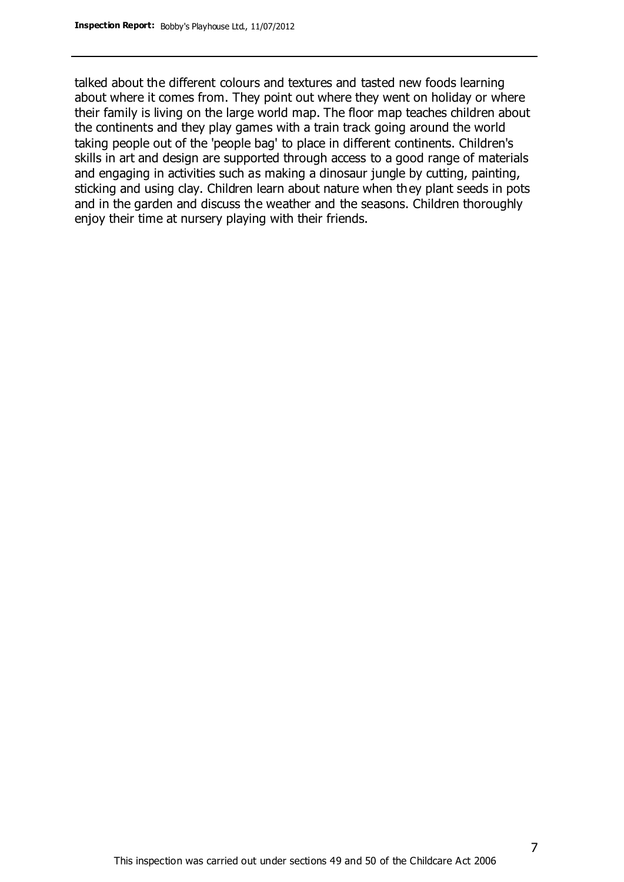talked about the different colours and textures and tasted new foods learning about where it comes from. They point out where they went on holiday or where their family is living on the large world map. The floor map teaches children about the continents and they play games with a train track going around the world taking people out of the 'people bag' to place in different continents. Children's skills in art and design are supported through access to a good range of materials and engaging in activities such as making a dinosaur jungle by cutting, painting, sticking and using clay. Children learn about nature when they plant seeds in pots and in the garden and discuss the weather and the seasons. Children thoroughly enjoy their time at nursery playing with their friends.